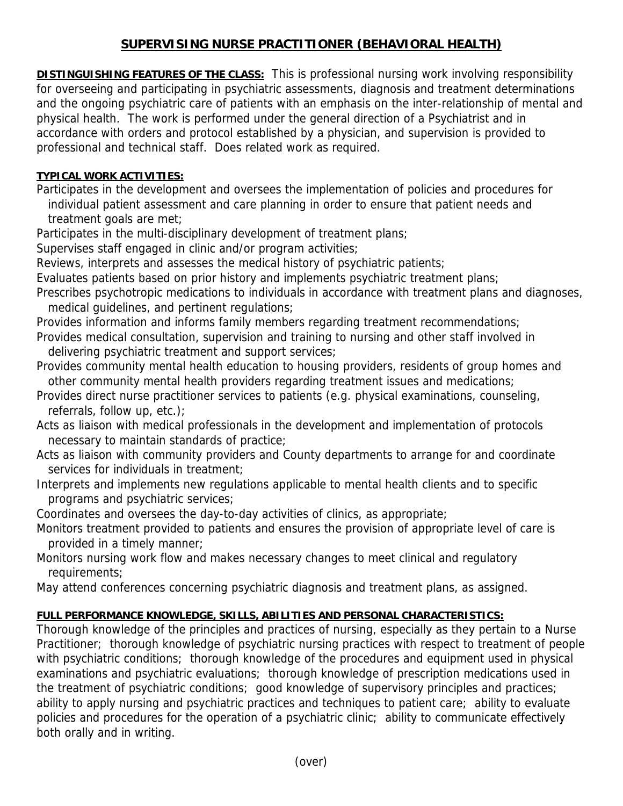## **SUPERVISING NURSE PRACTITIONER (BEHAVIORAL HEALTH)**

**DISTINGUISHING FEATURES OF THE CLASS:** This is professional nursing work involving responsibility for overseeing and participating in psychiatric assessments, diagnosis and treatment determinations and the ongoing psychiatric care of patients with an emphasis on the inter-relationship of mental and physical health. The work is performed under the general direction of a Psychiatrist and in accordance with orders and protocol established by a physician, and supervision is provided to professional and technical staff. Does related work as required.

## **TYPICAL WORK ACTIVITIES:**

Participates in the development and oversees the implementation of policies and procedures for individual patient assessment and care planning in order to ensure that patient needs and treatment goals are met;

Participates in the multi-disciplinary development of treatment plans;

Supervises staff engaged in clinic and/or program activities;

Reviews, interprets and assesses the medical history of psychiatric patients;

Evaluates patients based on prior history and implements psychiatric treatment plans;

Prescribes psychotropic medications to individuals in accordance with treatment plans and diagnoses, medical guidelines, and pertinent regulations;

Provides information and informs family members regarding treatment recommendations;

- Provides medical consultation, supervision and training to nursing and other staff involved in delivering psychiatric treatment and support services;
- Provides community mental health education to housing providers, residents of group homes and other community mental health providers regarding treatment issues and medications;
- Provides direct nurse practitioner services to patients (e.g. physical examinations, counseling, referrals, follow up, etc.);
- Acts as liaison with medical professionals in the development and implementation of protocols necessary to maintain standards of practice;
- Acts as liaison with community providers and County departments to arrange for and coordinate services for individuals in treatment;
- Interprets and implements new regulations applicable to mental health clients and to specific programs and psychiatric services;

Coordinates and oversees the day-to-day activities of clinics, as appropriate;

- Monitors treatment provided to patients and ensures the provision of appropriate level of care is provided in a timely manner;
- Monitors nursing work flow and makes necessary changes to meet clinical and regulatory requirements;

May attend conferences concerning psychiatric diagnosis and treatment plans, as assigned.

## **FULL PERFORMANCE KNOWLEDGE, SKILLS, ABILITIES AND PERSONAL CHARACTERISTICS:**

Thorough knowledge of the principles and practices of nursing, especially as they pertain to a Nurse Practitioner; thorough knowledge of psychiatric nursing practices with respect to treatment of people with psychiatric conditions; thorough knowledge of the procedures and equipment used in physical examinations and psychiatric evaluations; thorough knowledge of prescription medications used in the treatment of psychiatric conditions; good knowledge of supervisory principles and practices; ability to apply nursing and psychiatric practices and techniques to patient care; ability to evaluate policies and procedures for the operation of a psychiatric clinic; ability to communicate effectively both orally and in writing.